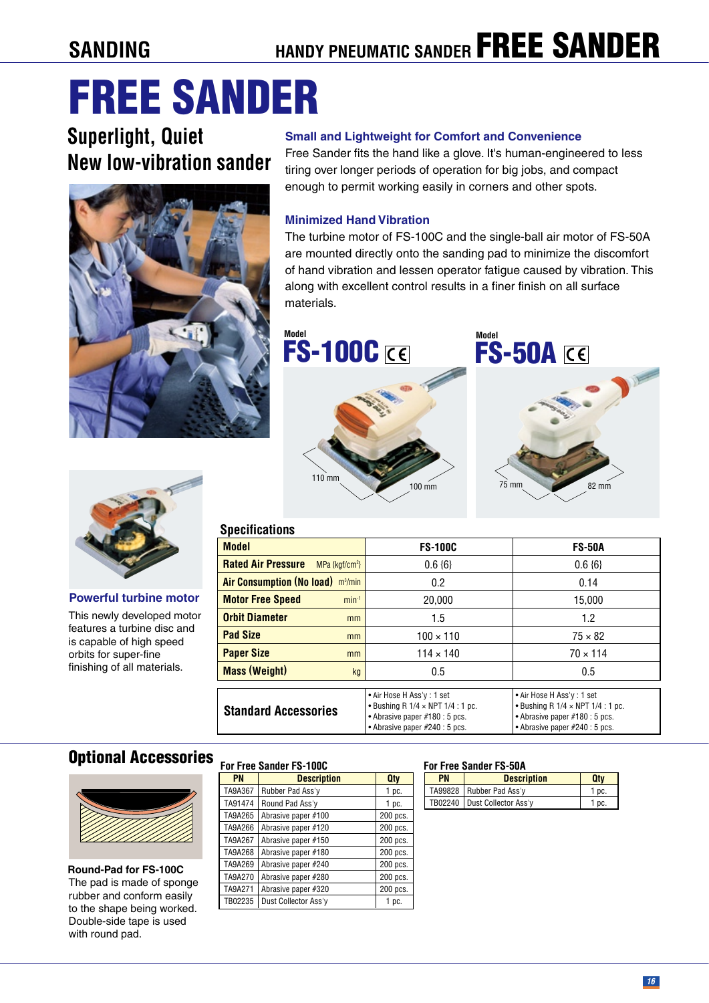## **SANDING**

# FREE SANDER

# **Superlight, Quiet New low-vibration sander**



#### **Small and Lightweight for Comfort and Convenience**

Free Sander fits the hand like a glove. It's human-engineered to less tiring over longer periods of operation for big jobs, and compact enough to permit working easily in corners and other spots.

#### **Minimized Hand Vibration**

The turbine motor of FS-100C and the single-ball air motor of FS-50A are mounted directly onto the sanding pad to minimize the discomfort of hand vibration and lessen operator fatigue caused by vibration. This along with excellent control results in a finer finish on all surface materials.

**FS-100C**  $F$ **Model**







#### **Powerful turbine motor**

This newly developed motor features a turbine disc and is capable of high speed orbits for super-fine finishing of all materials.

#### **Specifications**

| <b>Model</b>                                             | <b>FS-100C</b>                                                                                                  | <b>FS-50A</b>                                                                                                   |
|----------------------------------------------------------|-----------------------------------------------------------------------------------------------------------------|-----------------------------------------------------------------------------------------------------------------|
| <b>Rated Air Pressure</b><br>MPa $\{ \text{kqf/cm}^2 \}$ | $0.6 \{6\}$                                                                                                     | $0.6 \{6\}$                                                                                                     |
| Air Consumption (No load) m <sup>3</sup> /min            | 0.2                                                                                                             | 0.14                                                                                                            |
| <b>Motor Free Speed</b><br>$min^{-1}$                    | 20,000                                                                                                          | 15,000                                                                                                          |
| <b>Orbit Diameter</b><br>mm                              | 1.5                                                                                                             | 1.2                                                                                                             |
| <b>Pad Size</b><br>mm                                    | $100 \times 110$                                                                                                | $75 \times 82$                                                                                                  |
| <b>Paper Size</b><br>mm                                  | $114 \times 140$                                                                                                | $70 \times 114$                                                                                                 |
| <b>Mass (Weight)</b><br>kg                               | 0.5                                                                                                             | 0.5                                                                                                             |
|                                                          |                                                                                                                 |                                                                                                                 |
| <b>Standard Accessories</b>                              | • Air Hose H Ass'y: 1 set<br>$\bullet$ Bushing R 1/4 $\times$ NPT 1/4 : 1 pc.<br>• Abrasive paper #180 : 5 pcs. | • Air Hose H Ass'y: 1 set<br>$\bullet$ Bushing R 1/4 $\times$ NPT 1/4 : 1 pc.<br>• Abrasive paper #180 : 5 pcs. |

• Abrasive paper #240 : 5 pcs.

### Optional Accessories



**Round-Pad for FS-100C** The pad is made of sponge rubber and conform easily to the shape being worked. Double-side tape is used with round pad.

| <b>For Free Sander FS-100C</b> |                      |                  |  |
|--------------------------------|----------------------|------------------|--|
| PN                             | <b>Description</b>   | Qty              |  |
| TA9A367                        | Rubber Pad Ass'y     | 1 <sub>pc.</sub> |  |
| TA91474                        | Round Pad Ass'y      | 1 <sub>pc.</sub> |  |
| TA9A265                        | Abrasive paper #100  | 200 pcs.         |  |
| TA9A266                        | Abrasive paper #120  | 200 pcs.         |  |
| TA9A267                        | Abrasive paper #150  | 200 pcs.         |  |
| TA9A268                        | Abrasive paper #180  | 200 pcs.         |  |
| TA9A269                        | Abrasive paper #240  | 200 pcs.         |  |
| TA9A270                        | Abrasive paper #280  | 200 pcs.         |  |
| TA9A271                        | Abrasive paper #320  | 200 pcs.         |  |
| TB02235                        | Dust Collector Ass'y | 1 pc.            |  |

#### **For Free Sander FS-100C For Free Sander FS-50A**

| FUI FICC JAIIUCI FJ"JUA |                                |                  |  |
|-------------------------|--------------------------------|------------------|--|
| <b>PN</b>               | <b>Description</b>             | <b>Otv</b>       |  |
|                         | TA99828   Rubber Pad Ass'y     | 1 pc.            |  |
|                         | TB02240   Dust Collector Ass'y | 1 <sub>pc.</sub> |  |

• Abrasive paper #240 : 5 pcs.